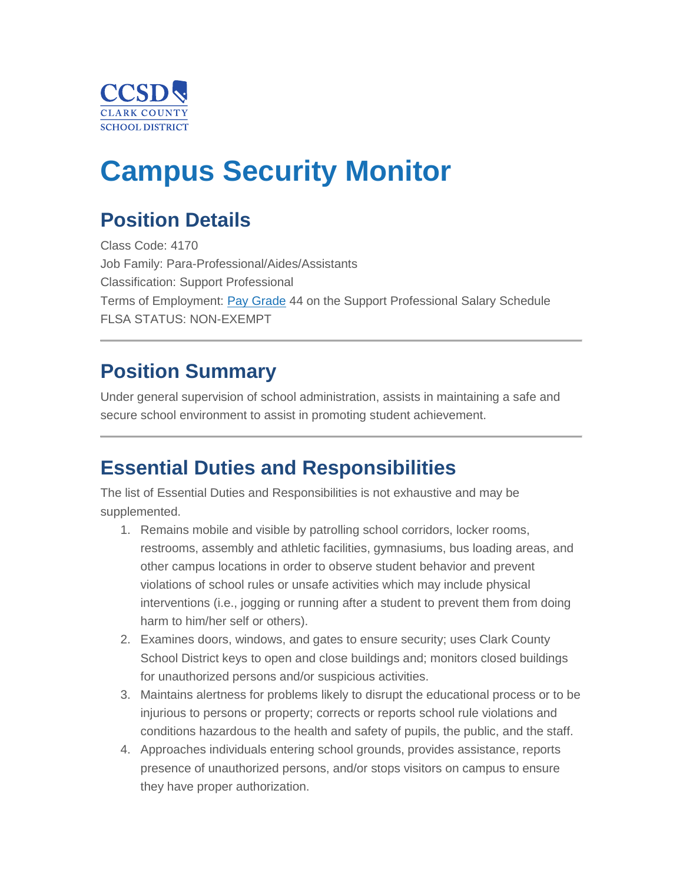

# **Campus Security Monitor**

## **Position Details**

Class Code: 4170 Job Family: Para-Professional/Aides/Assistants Classification: Support Professional Terms of Employment: [Pay Grade](https://www.ccsd.net/employees/current/employment/salary) 44 on the Support Professional Salary Schedule FLSA STATUS: NON-EXEMPT

### **Position Summary**

Under general supervision of school administration, assists in maintaining a safe and secure school environment to assist in promoting student achievement.

### **Essential Duties and Responsibilities**

The list of Essential Duties and Responsibilities is not exhaustive and may be supplemented.

- 1. Remains mobile and visible by patrolling school corridors, locker rooms, restrooms, assembly and athletic facilities, gymnasiums, bus loading areas, and other campus locations in order to observe student behavior and prevent violations of school rules or unsafe activities which may include physical interventions (i.e., jogging or running after a student to prevent them from doing harm to him/her self or others).
- 2. Examines doors, windows, and gates to ensure security; uses Clark County School District keys to open and close buildings and; monitors closed buildings for unauthorized persons and/or suspicious activities.
- 3. Maintains alertness for problems likely to disrupt the educational process or to be injurious to persons or property; corrects or reports school rule violations and conditions hazardous to the health and safety of pupils, the public, and the staff.
- 4. Approaches individuals entering school grounds, provides assistance, reports presence of unauthorized persons, and/or stops visitors on campus to ensure they have proper authorization.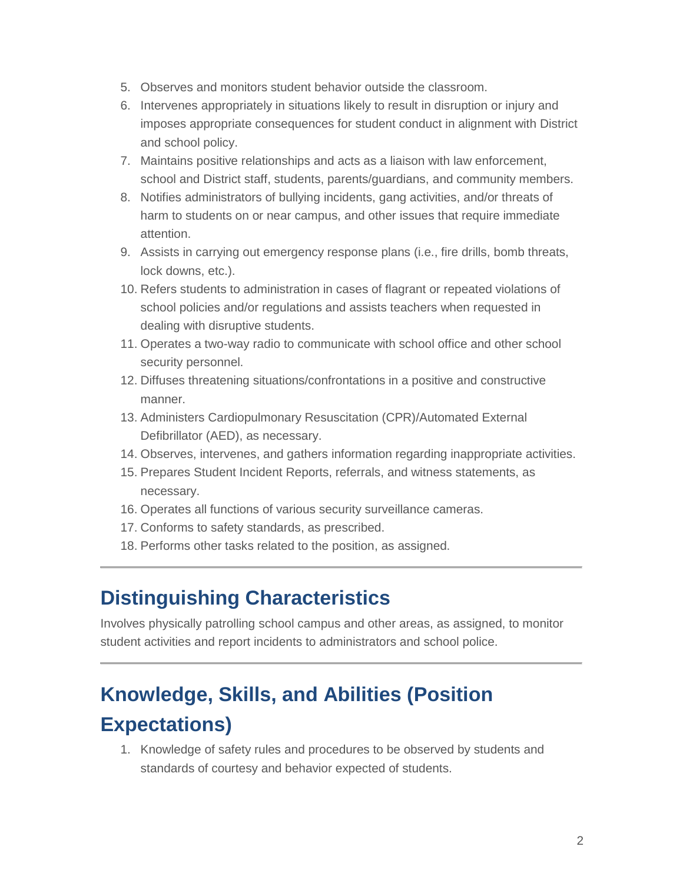- 5. Observes and monitors student behavior outside the classroom.
- 6. Intervenes appropriately in situations likely to result in disruption or injury and imposes appropriate consequences for student conduct in alignment with District and school policy.
- 7. Maintains positive relationships and acts as a liaison with law enforcement, school and District staff, students, parents/guardians, and community members.
- 8. Notifies administrators of bullying incidents, gang activities, and/or threats of harm to students on or near campus, and other issues that require immediate attention.
- 9. Assists in carrying out emergency response plans (i.e., fire drills, bomb threats, lock downs, etc.).
- 10. Refers students to administration in cases of flagrant or repeated violations of school policies and/or regulations and assists teachers when requested in dealing with disruptive students.
- 11. Operates a two-way radio to communicate with school office and other school security personnel.
- 12. Diffuses threatening situations/confrontations in a positive and constructive manner.
- 13. Administers Cardiopulmonary Resuscitation (CPR)/Automated External Defibrillator (AED), as necessary.
- 14. Observes, intervenes, and gathers information regarding inappropriate activities.
- 15. Prepares Student Incident Reports, referrals, and witness statements, as necessary.
- 16. Operates all functions of various security surveillance cameras.
- 17. Conforms to safety standards, as prescribed.
- 18. Performs other tasks related to the position, as assigned.

### **Distinguishing Characteristics**

Involves physically patrolling school campus and other areas, as assigned, to monitor student activities and report incidents to administrators and school police.

# **Knowledge, Skills, and Abilities (Position Expectations)**

1. Knowledge of safety rules and procedures to be observed by students and standards of courtesy and behavior expected of students.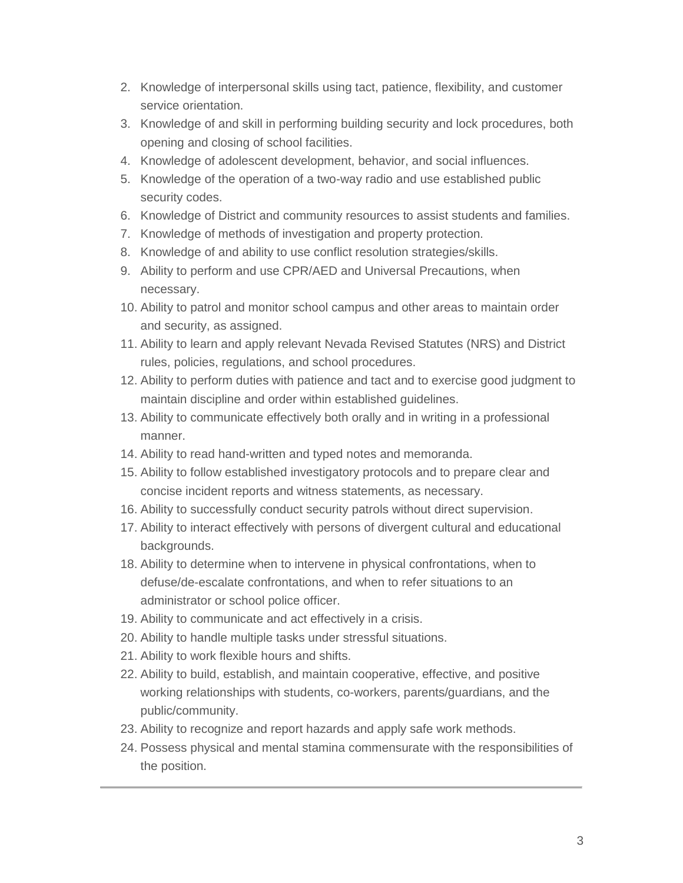- 2. Knowledge of interpersonal skills using tact, patience, flexibility, and customer service orientation.
- 3. Knowledge of and skill in performing building security and lock procedures, both opening and closing of school facilities.
- 4. Knowledge of adolescent development, behavior, and social influences.
- 5. Knowledge of the operation of a two-way radio and use established public security codes.
- 6. Knowledge of District and community resources to assist students and families.
- 7. Knowledge of methods of investigation and property protection.
- 8. Knowledge of and ability to use conflict resolution strategies/skills.
- 9. Ability to perform and use CPR/AED and Universal Precautions, when necessary.
- 10. Ability to patrol and monitor school campus and other areas to maintain order and security, as assigned.
- 11. Ability to learn and apply relevant Nevada Revised Statutes (NRS) and District rules, policies, regulations, and school procedures.
- 12. Ability to perform duties with patience and tact and to exercise good judgment to maintain discipline and order within established guidelines.
- 13. Ability to communicate effectively both orally and in writing in a professional manner.
- 14. Ability to read hand-written and typed notes and memoranda.
- 15. Ability to follow established investigatory protocols and to prepare clear and concise incident reports and witness statements, as necessary.
- 16. Ability to successfully conduct security patrols without direct supervision.
- 17. Ability to interact effectively with persons of divergent cultural and educational backgrounds.
- 18. Ability to determine when to intervene in physical confrontations, when to defuse/de-escalate confrontations, and when to refer situations to an administrator or school police officer.
- 19. Ability to communicate and act effectively in a crisis.
- 20. Ability to handle multiple tasks under stressful situations.
- 21. Ability to work flexible hours and shifts.
- 22. Ability to build, establish, and maintain cooperative, effective, and positive working relationships with students, co-workers, parents/guardians, and the public/community.
- 23. Ability to recognize and report hazards and apply safe work methods.
- 24. Possess physical and mental stamina commensurate with the responsibilities of the position.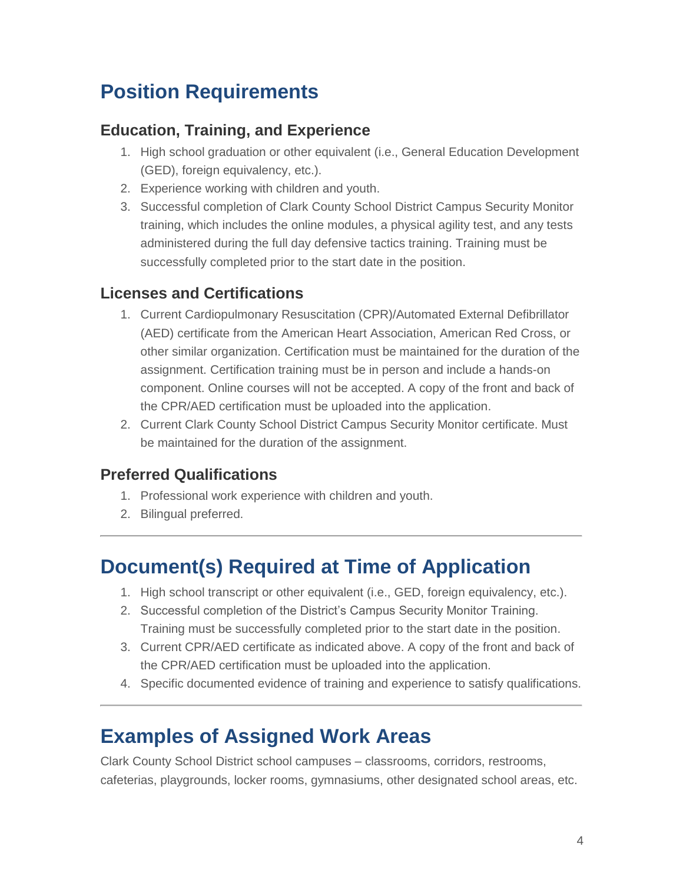## **Position Requirements**

#### **Education, Training, and Experience**

- 1. High school graduation or other equivalent (i.e., General Education Development (GED), foreign equivalency, etc.).
- 2. Experience working with children and youth.
- 3. Successful completion of Clark County School District Campus Security Monitor training, which includes the online modules, a physical agility test, and any tests administered during the full day defensive tactics training. Training must be successfully completed prior to the start date in the position.

#### **Licenses and Certifications**

- 1. Current Cardiopulmonary Resuscitation (CPR)/Automated External Defibrillator (AED) certificate from the American Heart Association, American Red Cross, or other similar organization. Certification must be maintained for the duration of the assignment. Certification training must be in person and include a hands-on component. Online courses will not be accepted. A copy of the front and back of the CPR/AED certification must be uploaded into the application.
- 2. Current Clark County School District Campus Security Monitor certificate. Must be maintained for the duration of the assignment.

#### **Preferred Qualifications**

- 1. Professional work experience with children and youth.
- 2. Bilingual preferred.

### **Document(s) Required at Time of Application**

- 1. High school transcript or other equivalent (i.e., GED, foreign equivalency, etc.).
- 2. Successful completion of the District's Campus Security Monitor Training. Training must be successfully completed prior to the start date in the position.
- 3. Current CPR/AED certificate as indicated above. A copy of the front and back of the CPR/AED certification must be uploaded into the application.
- 4. Specific documented evidence of training and experience to satisfy qualifications.

### **Examples of Assigned Work Areas**

Clark County School District school campuses – classrooms, corridors, restrooms, cafeterias, playgrounds, locker rooms, gymnasiums, other designated school areas, etc.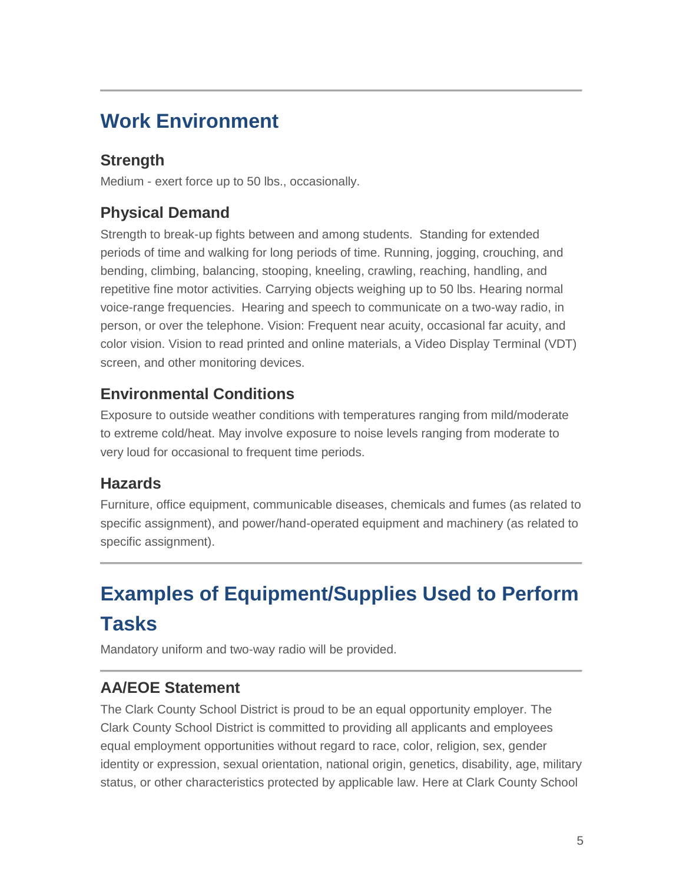### **Work Environment**

### **Strength**

Medium - exert force up to 50 lbs., occasionally.

### **Physical Demand**

Strength to break-up fights between and among students. Standing for extended periods of time and walking for long periods of time. Running, jogging, crouching, and bending, climbing, balancing, stooping, kneeling, crawling, reaching, handling, and repetitive fine motor activities. Carrying objects weighing up to 50 lbs. Hearing normal voice-range frequencies. Hearing and speech to communicate on a two-way radio, in person, or over the telephone. Vision: Frequent near acuity, occasional far acuity, and color vision. Vision to read printed and online materials, a Video Display Terminal (VDT) screen, and other monitoring devices.

#### **Environmental Conditions**

Exposure to outside weather conditions with temperatures ranging from mild/moderate to extreme cold/heat. May involve exposure to noise levels ranging from moderate to very loud for occasional to frequent time periods.

#### **Hazards**

Furniture, office equipment, communicable diseases, chemicals and fumes (as related to specific assignment), and power/hand-operated equipment and machinery (as related to specific assignment).

# **Examples of Equipment/Supplies Used to Perform Tasks**

Mandatory uniform and two-way radio will be provided.

### **AA/EOE Statement**

The Clark County School District is proud to be an equal opportunity employer. The Clark County School District is committed to providing all applicants and employees equal employment opportunities without regard to race, color, religion, sex, gender identity or expression, sexual orientation, national origin, genetics, disability, age, military status, or other characteristics protected by applicable law. Here at Clark County School